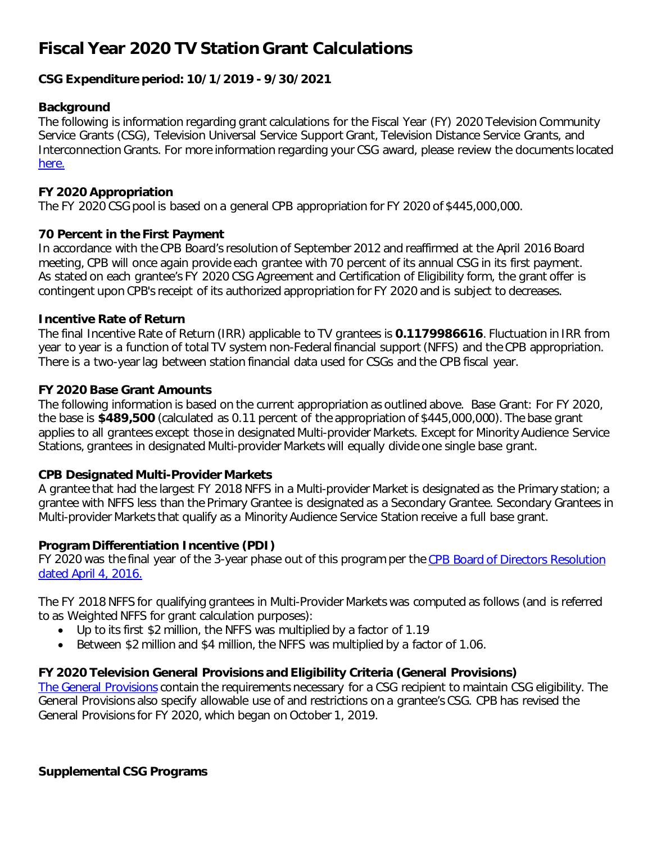# **Fiscal Year 2020 TV Station Grant Calculations**

### **CSG Expenditure period: 10/1/2019 - 9/30/2021**

#### **Background**

The following is information regarding grant calculations for the Fiscal Year (FY) 2020 Television Community Service Grants (CSG), Television Universal Service Support Grant, Television Distance Service Grants, and Interconnection Grants. For more information regarding your CSG award, please review the documents located [here.](https://www.cpb.org/stations)

#### **FY 2020 Appropriation**

The FY 2020 CSG pool is based on a general CPB appropriation for FY 2020 of \$445,000,000.

#### **70 Percent in the First Payment**

In accordance with the CPB Board's resolution of September 2012 and reaffirmed at the April 2016 Board meeting, CPB will once again provide each grantee with 70 percent of its annual CSG in its first payment. As stated on each grantee's FY 2020 CSG Agreement and Certification of Eligibility form, the grant offer is contingent upon CPB's receipt of its authorized appropriation for FY 2020 and is subject to decreases.

#### **Incentive Rate of Return**

The final Incentive Rate of Return (IRR) applicable to TV grantees is **0.1179986616**. Fluctuation in IRR from year to year is a function of total TV system non-Federal financial support (NFFS) and the CPB appropriation. There is a two-year lag between station financial data used for CSGs and the CPB fiscal year.

#### **FY 2020 Base Grant Amounts**

The following information is based on the current appropriation as outlined above. Base Grant: For FY 2020, the base is **\$489,500** (calculated as 0.11 percent of the appropriation of \$445,000,000). The base grant applies to all grantees except those in designated Multi-provider Markets. Except for Minority Audience Service Stations, grantees in designated Multi-provider Markets will equally divide one single base grant.

#### **CPB Designated Multi-Provider Markets**

A grantee that had the largest FY 2018 NFFS in a Multi-provider Market is designated as the Primary station; a grantee with NFFS less than the Primary Grantee is designated as a Secondary Grantee. Secondary Grantees in Multi-provider Markets that qualify as a Minority Audience Service Station receive a full base grant.

#### **Program Differentiation Incentive (PDI)**

FY 2020 was the final year of the 3-year phase out of this program per the CPB Board of Directors Resolution [dated April 4, 2016.](https://www.cpb.org/aboutcpb/leadership/board/resolutions?date_filter%5Bvalue%5D%5Byear%5D=2016&field_cpb_related_board_tags_tid=745&=Apply) 

The FY 2018 NFFS for qualifying grantees in Multi-Provider Markets was computed as follows (and is referred to as Weighted NFFS for grant calculation purposes):

- Up to its first \$2 million, the NFFS was multiplied by a factor of 1.19
- Between \$2 million and \$4 million, the NFFS was multiplied by a factor of 1.06.

#### **FY 2020 Television General Provisions and Eligibility Criteria (General Provisions)**

[The General Provisions](https://www.cpb.org/stations/grants/tv/generalprovisions) contain the requirements necessary for a CSG recipient to maintain CSG eligibility. The General Provisions also specify allowable use of and restrictions on a grantee's CSG. CPB has revised the General Provisions for FY 2020, which began on October 1, 2019.

#### **Supplemental CSG Programs**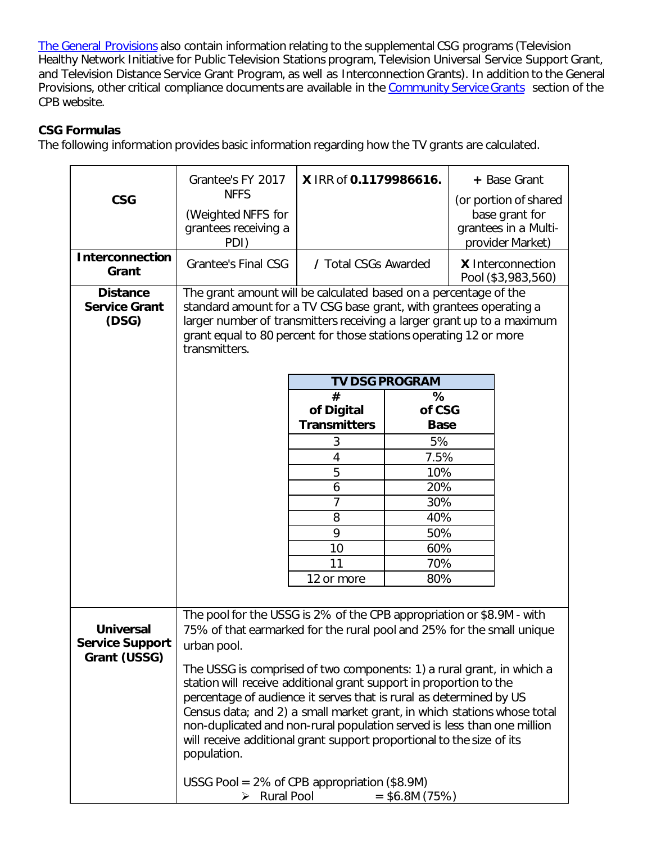[The General Provisions](https://www.cpb.org/stations/grants/tv/generalprovisions) also contain information relating to the supplemental CSG programs (Television Healthy Network Initiative for Public Television Stations program, Television Universal Service Support Grant, and Television Distance Service Grant Program, as well as Interconnection Grants). In addition to the General Provisions, other critical compliance documents are available in the [Community Service Grants](https://www.cpb.org/stations) section of the CPB website.

# **CSG Formulas**

The following information provides basic information regarding how the TV grants are calculated.

|                                                            | Grantee's FY 2017                                                                                                                                                                                                                                                                                                                                                                                                                                                                                                  | X IRR of 0.1179986616.            |                                                                 | + Base Grant                                                                        |  |
|------------------------------------------------------------|--------------------------------------------------------------------------------------------------------------------------------------------------------------------------------------------------------------------------------------------------------------------------------------------------------------------------------------------------------------------------------------------------------------------------------------------------------------------------------------------------------------------|-----------------------------------|-----------------------------------------------------------------|-------------------------------------------------------------------------------------|--|
| <b>CSG</b>                                                 | <b>NFFS</b><br>(Weighted NFFS for<br>grantees receiving a<br>PDI)                                                                                                                                                                                                                                                                                                                                                                                                                                                  |                                   |                                                                 | (or portion of shared<br>base grant for<br>grantees in a Multi-<br>provider Market) |  |
| <b>Interconnection</b><br>Grant                            | <b>Grantee's Final CSG</b>                                                                                                                                                                                                                                                                                                                                                                                                                                                                                         |                                   | / Total CSGs Awarded<br>X Interconnection<br>Pool (\$3,983,560) |                                                                                     |  |
| <b>Distance</b><br><b>Service Grant</b><br>(DSG)           | The grant amount will be calculated based on a percentage of the<br>standard amount for a TV CSG base grant, with grantees operating a<br>larger number of transmitters receiving a larger grant up to a maximum<br>grant equal to 80 percent for those stations operating 12 or more<br>transmitters.                                                                                                                                                                                                             |                                   |                                                                 |                                                                                     |  |
|                                                            |                                                                                                                                                                                                                                                                                                                                                                                                                                                                                                                    | <b>TV DSG PROGRAM</b>             |                                                                 |                                                                                     |  |
|                                                            |                                                                                                                                                                                                                                                                                                                                                                                                                                                                                                                    | #                                 | %<br>of CSG                                                     |                                                                                     |  |
|                                                            |                                                                                                                                                                                                                                                                                                                                                                                                                                                                                                                    | of Digital<br><b>Transmitters</b> | <b>Base</b>                                                     |                                                                                     |  |
|                                                            |                                                                                                                                                                                                                                                                                                                                                                                                                                                                                                                    | 3                                 | 5%                                                              |                                                                                     |  |
|                                                            |                                                                                                                                                                                                                                                                                                                                                                                                                                                                                                                    | 4                                 | 7.5%                                                            |                                                                                     |  |
|                                                            |                                                                                                                                                                                                                                                                                                                                                                                                                                                                                                                    | 5                                 | 10%                                                             |                                                                                     |  |
|                                                            |                                                                                                                                                                                                                                                                                                                                                                                                                                                                                                                    | 6                                 | 20%                                                             |                                                                                     |  |
|                                                            |                                                                                                                                                                                                                                                                                                                                                                                                                                                                                                                    | 7                                 | 30%                                                             |                                                                                     |  |
|                                                            |                                                                                                                                                                                                                                                                                                                                                                                                                                                                                                                    | 8<br>9                            | 40%                                                             |                                                                                     |  |
|                                                            |                                                                                                                                                                                                                                                                                                                                                                                                                                                                                                                    | 10                                | 50%<br>60%                                                      |                                                                                     |  |
|                                                            |                                                                                                                                                                                                                                                                                                                                                                                                                                                                                                                    | 11                                | 70%                                                             |                                                                                     |  |
|                                                            |                                                                                                                                                                                                                                                                                                                                                                                                                                                                                                                    | 12 or more                        | 80%                                                             |                                                                                     |  |
|                                                            |                                                                                                                                                                                                                                                                                                                                                                                                                                                                                                                    |                                   |                                                                 |                                                                                     |  |
| <b>Universal</b><br><b>Service Support</b><br>Grant (USSG) | The pool for the USSG is 2% of the CPB appropriation or \$8.9M - with<br>75% of that earmarked for the rural pool and 25% for the small unique<br>urban pool.                                                                                                                                                                                                                                                                                                                                                      |                                   |                                                                 |                                                                                     |  |
|                                                            | The USSG is comprised of two components: 1) a rural grant, in which a<br>station will receive additional grant support in proportion to the<br>percentage of audience it serves that is rural as determined by US<br>Census data; and 2) a small market grant, in which stations whose total<br>non-duplicated and non-rural population served is less than one million<br>will receive additional grant support proportional to the size of its<br>population.<br>USSG Pool = $2\%$ of CPB appropriation (\$8.9M) |                                   |                                                                 |                                                                                     |  |
|                                                            | $\triangleright$ Rural Pool<br>$=$ \$6.8M (75%)                                                                                                                                                                                                                                                                                                                                                                                                                                                                    |                                   |                                                                 |                                                                                     |  |